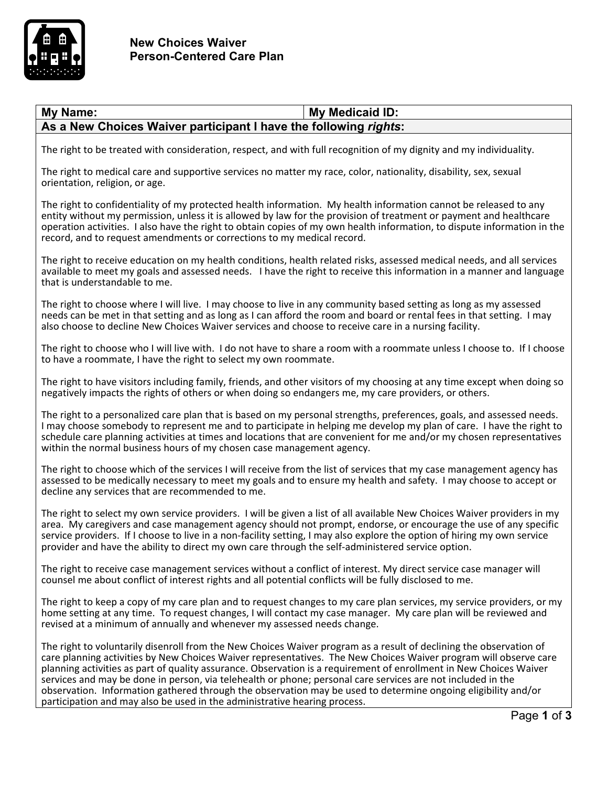

## My Name: **My Name:** My Medicaid ID: **As a New Choices Waiver participant I have the following** *rights***:**

The right to be treated with consideration, respect, and with full recognition of my dignity and my individuality.

The right to medical care and supportive services no matter my race, color, nationality, disability, sex, sexual orientation, religion, or age.

The right to confidentiality of my protected health information. My health information cannot be released to any entity without my permission, unless it is allowed by law for the provision of treatment or payment and healthcare operation activities. I also have the right to obtain copies of my own health information, to dispute information in the record, and to request amendments or corrections to my medical record.

The right to receive education on my health conditions, health related risks, assessed medical needs, and all services available to meet my goals and assessed needs. I have the right to receive this information in a manner and language that is understandable to me.

The right to choose where I will live. I may choose to live in any community based setting as long as my assessed needs can be met in that setting and as long as I can afford the room and board or rental fees in that setting. I may also choose to decline New Choices Waiver services and choose to receive care in a nursing facility.

The right to choose who I will live with. I do not have to share a room with a roommate unless I choose to. If I choose to have a roommate, I have the right to select my own roommate.

The right to have visitors including family, friends, and other visitors of my choosing at any time except when doing so negatively impacts the rights of others or when doing so endangers me, my care providers, or others.

The right to a personalized care plan that is based on my personal strengths, preferences, goals, and assessed needs. I may choose somebody to represent me and to participate in helping me develop my plan of care. I have the right to schedule care planning activities at times and locations that are convenient for me and/or my chosen representatives within the normal business hours of my chosen case management agency.

The right to choose which of the services I will receive from the list of services that my case management agency has assessed to be medically necessary to meet my goals and to ensure my health and safety. I may choose to accept or decline any services that are recommended to me.

The right to select my own service providers. I will be given a list of all available New Choices Waiver providers in my area. My caregivers and case management agency should not prompt, endorse, or encourage the use of any specific service providers. If I choose to live in a non-facility setting, I may also explore the option of hiring my own service provider and have the ability to direct my own care through the self-administered service option.

The right to receive case management services without a conflict of interest. My direct service case manager will counsel me about conflict of interest rights and all potential conflicts will be fully disclosed to me.

The right to keep a copy of my care plan and to request changes to my care plan services, my service providers, or my home setting at any time. To request changes, I will contact my case manager. My care plan will be reviewed and revised at a minimum of annually and whenever my assessed needs change.

The right to voluntarily disenroll from the New Choices Waiver program as a result of declining the observation of care planning activities by New Choices Waiver representatives. The New Choices Waiver program will observe care planning activities as part of quality assurance. Observation is a requirement of enrollment in New Choices Waiver services and may be done in person, via telehealth or phone; personal care services are not included in the observation. Information gathered through the observation may be used to determine ongoing eligibility and/or participation and may also be used in the administrative hearing process.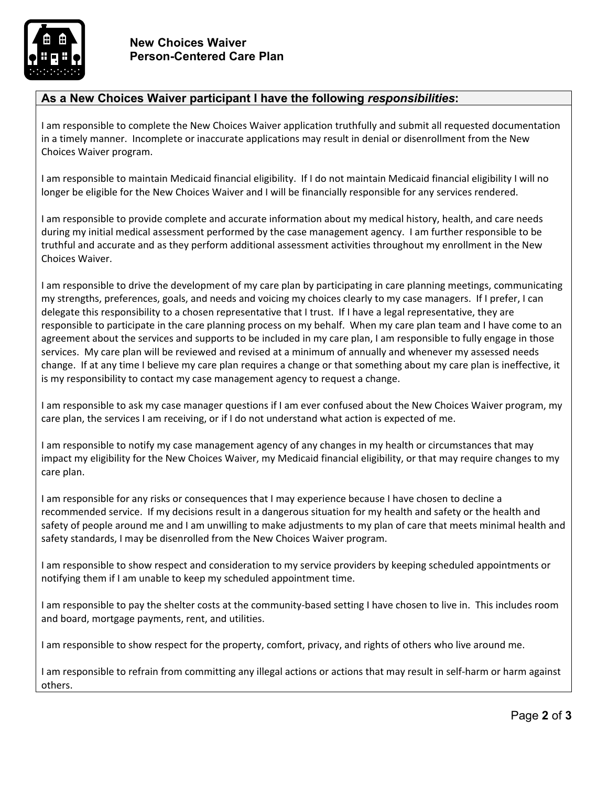

## **As a New Choices Waiver participant I have the following** *responsibilities***:**

I am responsible to complete the New Choices Waiver application truthfully and submit all requested documentation in a timely manner. Incomplete or inaccurate applications may result in denial or disenrollment from the New Choices Waiver program.

I am responsible to maintain Medicaid financial eligibility. If I do not maintain Medicaid financial eligibility I will no longer be eligible for the New Choices Waiver and I will be financially responsible for any services rendered.

I am responsible to provide complete and accurate information about my medical history, health, and care needs during my initial medical assessment performed by the case management agency. I am further responsible to be truthful and accurate and as they perform additional assessment activities throughout my enrollment in the New Choices Waiver.

I am responsible to drive the development of my care plan by participating in care planning meetings, communicating my strengths, preferences, goals, and needs and voicing my choices clearly to my case managers. If I prefer, I can delegate this responsibility to a chosen representative that I trust. If I have a legal representative, they are responsible to participate in the care planning process on my behalf. When my care plan team and I have come to an agreement about the services and supports to be included in my care plan, I am responsible to fully engage in those services. My care plan will be reviewed and revised at a minimum of annually and whenever my assessed needs change. If at any time I believe my care plan requires a change or that something about my care plan is ineffective, it is my responsibility to contact my case management agency to request a change.

I am responsible to ask my case manager questions if I am ever confused about the New Choices Waiver program, my care plan, the services I am receiving, or if I do not understand what action is expected of me.

I am responsible to notify my case management agency of any changes in my health or circumstances that may impact my eligibility for the New Choices Waiver, my Medicaid financial eligibility, or that may require changes to my care plan.

I am responsible for any risks or consequences that I may experience because I have chosen to decline a recommended service. If my decisions result in a dangerous situation for my health and safety or the health and safety of people around me and I am unwilling to make adjustments to my plan of care that meets minimal health and safety standards, I may be disenrolled from the New Choices Waiver program.

I am responsible to show respect and consideration to my service providers by keeping scheduled appointments or notifying them if I am unable to keep my scheduled appointment time.

I am responsible to pay the shelter costs at the community-based setting I have chosen to live in. This includes room and board, mortgage payments, rent, and utilities.

I am responsible to show respect for the property, comfort, privacy, and rights of others who live around me.

I am responsible to refrain from committing any illegal actions or actions that may result in self-harm or harm against others.